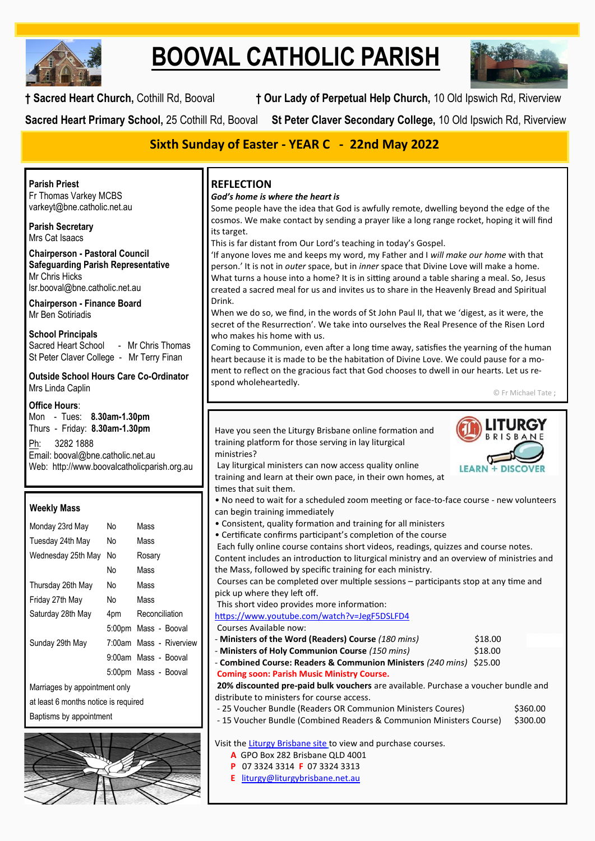

# **BOOVAL CATHOLIC PARISH**



**† Sacred Heart Church,** Cothill Rd, Booval **† Our Lady of Perpetual Help Church,** 10 Old Ipswich Rd, Riverview

**Sacred Heart Primary School,** 25 Cothill Rd, Booval **St Peter Claver Secondary College,** 10 Old Ipswich Rd, Riverview

# **Sixth Sunday of Easter - YEAR C - 22nd May 2022**

**Parish Priest** Fr Thomas Varkey MCBS varkeyt@bne.catholic.net.au

**Parish Secretary** Mrs Cat Isaacs

**Chairperson - Pastoral Council Safeguarding Parish Representative** Mr Chris Hicks [lsr.booval@bne.catholic.net.au](mailto:lsr.booval@bne.catholi.net.au)

**Chairperson - Finance Board** Mr Ben Sotiriadis

**School Principals** Sacred Heart School - Mr Chris Thomas St Peter Claver College - Mr Terry Finan

**Outside School Hours Care Co-Ordinator** Mrs Linda Caplin

#### **Office Hours**:

Mon - Tues: **8.30am-1.30pm** Thurs - Friday: **8.30am-1.30pm**

Ph: 3282 1888 Email: booval@bne.catholic.net.au Web: http://www.boovalcatholicparish.org.au

#### **Weekly Mass**

| Monday 23rd May               | No  | Mass                    |  |  |
|-------------------------------|-----|-------------------------|--|--|
| Tuesday 24th May              | N٥  | Mass                    |  |  |
| Wednesday 25th May            | No  | Rosary                  |  |  |
|                               | No  | Mass                    |  |  |
| Thursday 26th May             | No. | Mass                    |  |  |
| Friday 27th May               | No  | Mass                    |  |  |
| Saturday 28th May             | 4pm | Reconciliation          |  |  |
|                               |     | 5:00pm Mass - Booval    |  |  |
| Sunday 29th May               |     | 7:00am Mass - Riverview |  |  |
|                               |     | 9:00am Mass - Booval    |  |  |
|                               |     | 5:00pm Mass - Booval    |  |  |
| Marriages by appointment only |     |                         |  |  |

iges by appo

at least 6 months notice is required

Baptisms by appointment



## **REFLECTION**

#### *God's home is where the heart is*

Some people have the idea that God is awfully remote, dwelling beyond the edge of the cosmos. We make contact by sending a prayer like a long range rocket, hoping it will find its target.

This is far distant from Our Lord's teaching in today's Gospel.

'If anyone loves me and keeps my word, my Father and I *will make our home* with that person.' It is not in *outer* space, but in *inner* space that Divine Love will make a home. What turns a house into a home? It is in sitting around a table sharing a meal. So, Jesus created a sacred meal for us and invites us to share in the Heavenly Bread and Spiritual Drink.

When we do so, we find, in the words of St John Paul II, that we 'digest, as it were, the secret of the Resurrection'. We take into ourselves the Real Presence of the Risen Lord who makes his home with us.

Coming to Communion, even after a long time away, satisfies the yearning of the human heart because it is made to be the habitation of Divine Love. We could pause for a moment to reflect on the gracious fact that God chooses to dwell in our hearts. Let us respond wholeheartedly.

© Fr Michael Tate ;

Have you seen the Liturgy Brisbane online formation and training platform for those serving in lay liturgical ministries? Lay liturgical ministers can now access quality online

**LITURGY BRISBANE** 

training and learn at their own pace, in their own homes, at times that suit them. • No need to wait for a scheduled zoom meeting or face-to-face course - new volunteers

- can begin training immediately
- Consistent, quality formation and training for all ministers
- Certificate confirms participant's completion of the course

Each fully online course contains short videos, readings, quizzes and course notes. Content includes an introduction to liturgical ministry and an overview of ministries and the Mass, followed by specific training for each ministry.

Courses can be completed over multiple sessions – participants stop at any time and pick up where they left off.

This short video provides more information:

[https://www.youtube.com/watch?v=JegF5DSLFD4](https://protect-au.mimecast.com/s/NjOuC91W7OimWmRYCocoOg?domain=youtube.com)

- Courses Available now:
- **Ministers of the Word (Readers) Course** *(180 mins)* \$18.00
- **Ministers of Holy Communion Course** *(150 mins)* \$18.00
- **Combined Course: Readers & Communion Ministers** *(240 mins)* \$25.00 **Coming soon: Parish Music Ministry Course.**

**20% discounted pre-paid bulk vouchers** are available. Purchase a voucher bundle and distribute to ministers for course access.

- 25 Voucher Bundle (Readers OR Communion Ministers Coures) \$360.00
- 15 Voucher Bundle (Combined Readers & Communion Ministers Course) \$300.00

Visit the [Liturgy Brisbane site](https://protect-au.mimecast.com/s/UsDdC0YKyOs2X2JrSDSgWD?domain=shop.liturgybrisbane.net.au) to view and purchase courses.

- **A** GPO Box 282 Brisbane QLD 4001
- **P** 07 3324 3314 **F** 07 3324 3313
- **E** [liturgy@liturgybrisbane.net.au](mailto:liturgy@liturgybrisbane.net.au)